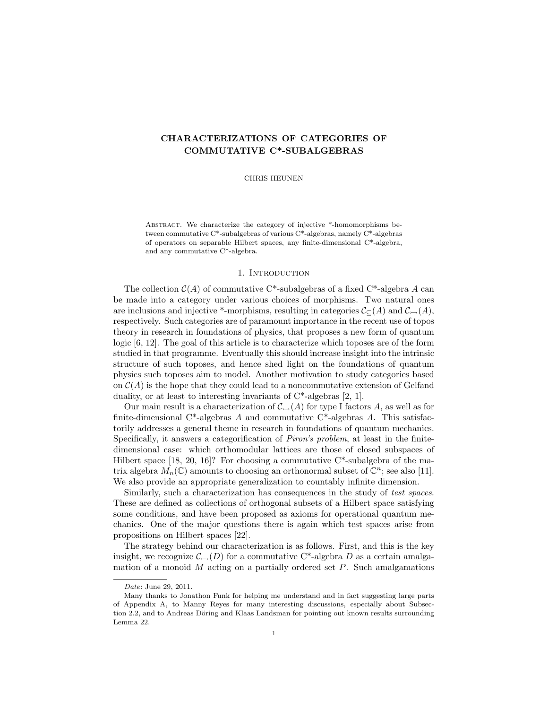# CHARACTERIZATIONS OF CATEGORIES OF COMMUTATIVE C\*-SUBALGEBRAS

CHRIS HEUNEN

Abstract. We characterize the category of injective \*-homomorphisms between commutative C\*-subalgebras of various C\*-algebras, namely C\*-algebras of operators on separable Hilbert spaces, any finite-dimensional C\*-algebra, and any commutative C\*-algebra.

## 1. INTRODUCTION

The collection  $C(A)$  of commutative C<sup>\*</sup>-subalgebras of a fixed C<sup>\*</sup>-algebra A can be made into a category under various choices of morphisms. Two natural ones are inclusions and injective \*-morphisms, resulting in categories  $\mathcal{C}_{\mathbb{C}}(A)$  and  $\mathcal{C}_{\rightarrow}(A)$ , respectively. Such categories are of paramount importance in the recent use of topos theory in research in foundations of physics, that proposes a new form of quantum logic [6, 12]. The goal of this article is to characterize which toposes are of the form studied in that programme. Eventually this should increase insight into the intrinsic structure of such toposes, and hence shed light on the foundations of quantum physics such toposes aim to model. Another motivation to study categories based on  $\mathcal{C}(A)$  is the hope that they could lead to a noncommutative extension of Gelfand duality, or at least to interesting invariants of C\*-algebras [2, 1].

Our main result is a characterization of  $\mathcal{C}_{\rightarrow}(A)$  for type I factors A, as well as for finite-dimensional C\*-algebras A and commutative C\*-algebras A. This satisfactorily addresses a general theme in research in foundations of quantum mechanics. Specifically, it answers a categorification of Piron's problem, at least in the finitedimensional case: which orthomodular lattices are those of closed subspaces of Hilbert space [18, 20, 16]? For choosing a commutative  $C^*$ -subalgebra of the matrix algebra  $M_n(\mathbb{C})$  amounts to choosing an orthonormal subset of  $\mathbb{C}^n$ ; see also [11]. We also provide an appropriate generalization to countably infinite dimension.

Similarly, such a characterization has consequences in the study of test spaces. These are defined as collections of orthogonal subsets of a Hilbert space satisfying some conditions, and have been proposed as axioms for operational quantum mechanics. One of the major questions there is again which test spaces arise from propositions on Hilbert spaces [22].

The strategy behind our characterization is as follows. First, and this is the key insight, we recognize  $\mathcal{C}_{\rightarrow}(D)$  for a commutative C<sup>\*</sup>-algebra D as a certain amalgamation of a monoid  $M$  acting on a partially ordered set  $P$ . Such amalgamations

Date: June 29, 2011.

Many thanks to Jonathon Funk for helping me understand and in fact suggesting large parts of Appendix A, to Manny Reyes for many interesting discussions, especially about Subsection 2.2, and to Andreas Döring and Klaas Landsman for pointing out known results surrounding Lemma 22.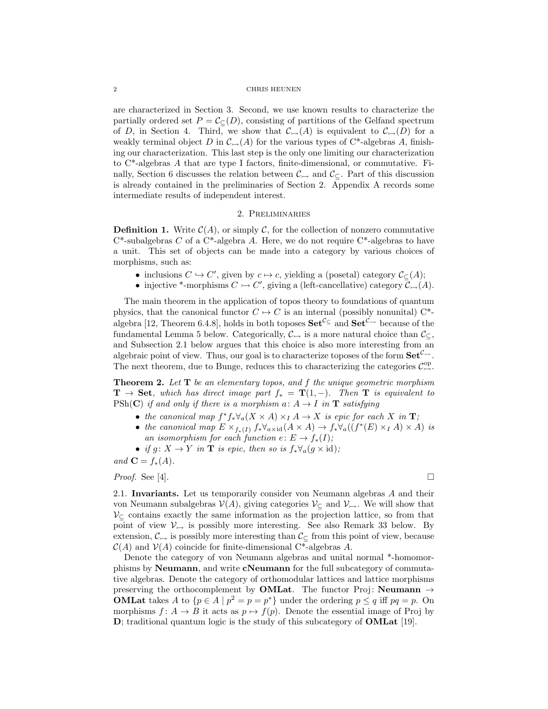### 2 CHRIS HEUNEN

are characterized in Section 3. Second, we use known results to characterize the partially ordered set  $P = \mathcal{C}_{\subset}(D)$ , consisting of partitions of the Gelfand spectrum of D, in Section 4. Third, we show that  $\mathcal{C}_{\rightarrow}(A)$  is equivalent to  $\mathcal{C}_{\rightarrow}(D)$  for a weakly terminal object D in  $\mathcal{C}_{\rightarrow}(A)$  for the various types of C\*-algebras A, finishing our characterization. This last step is the only one limiting our characterization to C\*-algebras A that are type I factors, finite-dimensional, or commutative. Finally, Section 6 discusses the relation between  $\mathcal{C}_{\hookrightarrow}$  and  $\mathcal{C}_{\subseteq}.$  Part of this discussion is already contained in the preliminaries of Section 2. Appendix A records some intermediate results of independent interest.

# 2. Preliminaries

**Definition 1.** Write  $\mathcal{C}(A)$ , or simply C, for the collection of nonzero commutative  $C^*$ -subalgebras C of a  $C^*$ -algebra A. Here, we do not require  $C^*$ -algebras to have a unit. This set of objects can be made into a category by various choices of morphisms, such as:

- inclusions  $C \hookrightarrow C'$ , given by  $c \mapsto c$ , yielding a (posetal) category  $\mathcal{C}_{\subseteq}(A)$ ;
- injective \*-morphisms  $C \rightarrow C'$ , giving a (left-cancellative) category  $\mathcal{C}_{\rightarrow}(A)$ .

The main theorem in the application of topos theory to foundations of quantum physics, that the canonical functor  $C \rightarrow C$  is an internal (possibly nonunital) C<sup>\*</sup>algebra [12, Theorem 6.4.8], holds in both toposes  $\mathbf{Set}^{\mathcal{C}_{\subseteq}}$  and  $\mathbf{Set}^{\mathcal{C}_{\hookrightarrow}}$  because of the fundamental Lemma 5 below. Categorically,  $\mathcal{C}_{\rightarrow}$  is a more natural choice than  $\mathcal{C}_{\subseteq}$ , and Subsection 2.1 below argues that this choice is also more interesting from an algebraic point of view. Thus, our goal is to characterize toposes of the form  $\mathbf{Set}^{\mathcal{C}_{\rightarrow}}$ . The next theorem, due to Bunge, reduces this to characterizing the categories  $\mathcal{C}^{\rm op}_{\rightarrow}$ .

**Theorem 2.** Let  $T$  be an elementary topos, and  $f$  the unique geometric morphism  $T \rightarrow$  Set, which has direct image part  $f_* = T(1, -)$ . Then T is equivalent to PSh(C) if and only if there is a morphism  $a: A \rightarrow I$  in **T** satisfying

- the canonical map  $f^*f_*\forall_a (X \times A) \times_I A \to X$  is epic for each X in **T**;
- the canonical map  $E \times_{f_*(I)} f_* \forall_{a \times \text{id}} (A \times A) \to f_* \forall_a ((f^*(E) \times_I A) \times A)$  is an isomorphism for each function  $e: E \to f_*(I);$
- if  $g: X \to Y$  in **T** is epic, then so is  $f_* \forall_a (g \times id)$ ;

and  $\mathbf{C} = f_*(A)$ .

*Proof.* See [4].  $\Box$ 

2.1. Invariants. Let us temporarily consider von Neumann algebras A and their von Neumann subalgebras  $V(A)$ , giving categories  $V_{\subset}$  and  $V_{\to}$ . We will show that  $\mathcal{V}_{\subseteq}$  contains exactly the same information as the projection lattice, so from that point of view  $\mathcal{V}_{\rightarrow}$  is possibly more interesting. See also Remark 33 below. By extension,  $\mathcal{C}_{\rightarrow}$  is possibly more interesting than  $\mathcal{C}_{\subset}$  from this point of view, because  $C(A)$  and  $V(A)$  coincide for finite-dimensional C<sup>\*</sup>-algebras A.

Denote the category of von Neumann algebras and unital normal \*-homomorphisms by Neumann, and write cNeumann for the full subcategory of commutative algebras. Denote the category of orthomodular lattices and lattice morphisms preserving the orthocomplement by **OMLat**. The functor Proj: **Neumann**  $\rightarrow$ **OMLat** takes A to  $\{p \in A \mid p^2 = p = p^*\}$  under the ordering  $p \le q$  iff  $pq = p$ . On morphisms  $f: A \rightarrow B$  it acts as  $p \mapsto f(p)$ . Denote the essential image of Proj by D; traditional quantum logic is the study of this subcategory of OMLat [19].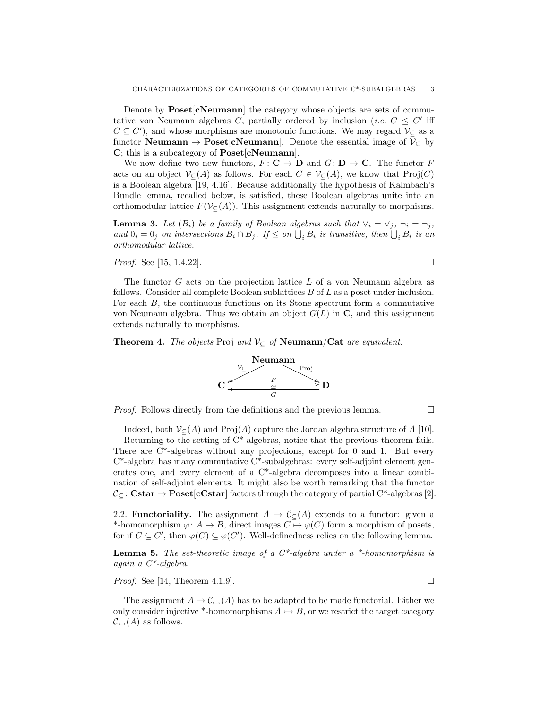Denote by **Poset**[c**Neumann**] the category whose objects are sets of commutative von Neumann algebras C, partially ordered by inclusion (*i.e.*  $C \leq C'$  iff  $C \subseteq C'$ , and whose morphisms are monotonic functions. We may regard  $\mathcal{V}_{\subseteq}$  as a functor **Neumann**  $\rightarrow$  **Poset**[**cNeumann**]. Denote the essential image of  $V_C$  by C; this is a subcategory of Poset[cNeumann].

We now define two new functors,  $F: \mathbf{C} \to \mathbf{D}$  and  $G: \mathbf{D} \to \mathbf{C}$ . The functor F acts on an object  $\mathcal{V}_{\subseteq}(A)$  as follows. For each  $C \in \mathcal{V}_{\subseteq}(A)$ , we know that  $\text{Proj}(C)$ is a Boolean algebra [19, 4.16]. Because additionally the hypothesis of Kalmbach's Bundle lemma, recalled below, is satisfied, these Boolean algebras unite into an orthomodular lattice  $F(V_{\subset}(A))$ . This assignment extends naturally to morphisms.

**Lemma 3.** Let  $(B_i)$  be a family of Boolean algebras such that  $\vee_i = \vee_j, \neg_i = \neg_j$ , and  $0_i = 0_j$  on intersections  $B_i \cap B_j$ . If  $\leq$  on  $\bigcup_i B_i$  is transitive, then  $\bigcup_i B_i$  is an orthomodular lattice.

*Proof.* See [15, 1.4.22].

The functor G acts on the projection lattice L of a von Neumann algebra as follows. Consider all complete Boolean sublattices B of L as a poset under inclusion. For each B, the continuous functions on its Stone spectrum form a commutative von Neumann algebra. Thus we obtain an object 
$$
G(L)
$$
 in C, and this assignment extends naturally to morphisms.

**Theorem 4.** The objects Proj and  $V_C$  of **Neumann**/Cat are equivalent.



*Proof.* Follows directly from the definitions and the previous lemma.  $\Box$ 

Indeed, both  $\mathcal{V}_{\mathcal{C}}(A)$  and Proj(A) capture the Jordan algebra structure of A [10].

Returning to the setting of C\*-algebras, notice that the previous theorem fails. There are C\*-algebras without any projections, except for 0 and 1. But every  $C^*$ -algebra has many commutative  $C^*$ -subalgebras: every self-adjoint element generates one, and every element of a C\*-algebra decomposes into a linear combination of self-adjoint elements. It might also be worth remarking that the functor  $\mathcal{C}_{\subseteq}$ : Cstar  $\rightarrow$  Poset[cCstar] factors through the category of partial C\*-algebras [2].

2.2. **Functoriality.** The assignment  $A \mapsto C_{\subset}(A)$  extends to a functor: given a \*-homomorphism  $\varphi: A \to B$ , direct images  $C \mapsto \varphi(C)$  form a morphism of posets, for if  $C \subseteq C'$ , then  $\varphi(C) \subseteq \varphi(C')$ . Well-definedness relies on the following lemma.

**Lemma 5.** The set-theoretic image of a  $C^*$ -algebra under a \*-homomorphism is again a C\*-algebra.

*Proof.* See [14, Theorem 4.1.9].

The assignment  $A \mapsto C_{\rightarrow}(A)$  has to be adapted to be made functorial. Either we only consider injective \*-homomorphisms  $A \rightarrow B$ , or we restrict the target category  $\mathcal{C}_{\rightarrowtail}(A)$  as follows.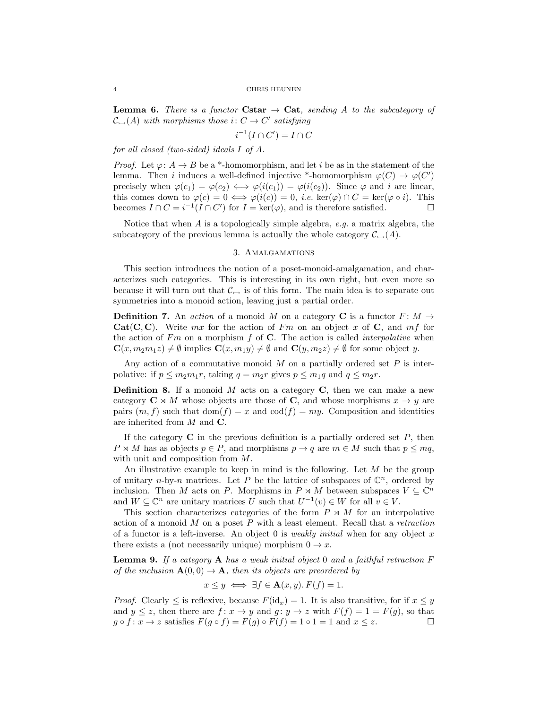**Lemma 6.** There is a functor Cstar  $\rightarrow$  Cat, sending A to the subcategory of  $\mathcal{C}_{\rightarrow}(A)$  with morphisms those  $i: C \rightarrow C'$  satisfying

$$
i^{-1}(I \cap C') = I \cap C
$$

for all closed (two-sided) ideals I of A.

*Proof.* Let  $\varphi: A \to B$  be a \*-homomorphism, and let i be as in the statement of the lemma. Then i induces a well-defined injective \*-homomorphism  $\varphi(C) \to \varphi(C')$ precisely when  $\varphi(c_1) = \varphi(c_2) \iff \varphi(i(c_1)) = \varphi(i(c_2))$ . Since  $\varphi$  and i are linear, this comes down to  $\varphi(c) = 0 \iff \varphi(i(c)) = 0$ , *i.e.* ker $(\varphi) \cap C = \ker(\varphi \circ i)$ . This becomes  $I \cap C = i^{-1}(I \cap C')$  for  $I = \ker(\varphi)$ , and is therefore satisfied.

Notice that when A is a topologically simple algebra, e.g. a matrix algebra, the subcategory of the previous lemma is actually the whole category  $\mathcal{C}_{\rightarrow}(A)$ .

# 3. Amalgamations

This section introduces the notion of a poset-monoid-amalgamation, and characterizes such categories. This is interesting in its own right, but even more so because it will turn out that  $\mathcal{C}_{\rightarrow}$  is of this form. The main idea is to separate out symmetries into a monoid action, leaving just a partial order.

**Definition 7.** An action of a monoid M on a category C is a functor  $F: M \rightarrow$ Cat(C, C). Write mx for the action of Fm on an object x of C, and  $mf$  for the action of  $Fm$  on a morphism f of C. The action is called *interpolative* when  $\mathbf{C}(x, m_2m_1z) \neq \emptyset$  implies  $\mathbf{C}(x, m_1y) \neq \emptyset$  and  $\mathbf{C}(y, m_2z) \neq \emptyset$  for some object y.

Any action of a commutative monoid  $M$  on a partially ordered set  $P$  is interpolative: if  $p \leq m_2m_1r$ , taking  $q = m_2r$  gives  $p \leq m_1q$  and  $q \leq m_2r$ .

**Definition 8.** If a monoid  $M$  acts on a category  $C$ , then we can make a new category  $C \rtimes M$  whose objects are those of C, and whose morphisms  $x \to y$  are pairs  $(m, f)$  such that  $dom(f) = x$  and  $cod(f) = my$ . Composition and identities are inherited from M and C.

If the category  $C$  in the previous definition is a partially ordered set  $P$ , then  $P \rtimes M$  has as objects  $p \in P$ , and morphisms  $p \to q$  are  $m \in M$  such that  $p \leq mq$ , with unit and composition from M.

An illustrative example to keep in mind is the following. Let  $M$  be the group of unitary n-by-n matrices. Let P be the lattice of subspaces of  $\mathbb{C}^n$ , ordered by inclusion. Then M acts on P. Morphisms in  $P \rtimes M$  between subspaces  $V \subseteq \mathbb{C}^n$ and  $W \subseteq \mathbb{C}^n$  are unitary matrices U such that  $U^{-1}(v) \in W$  for all  $v \in V$ .

This section characterizes categories of the form  $P \rtimes M$  for an interpolative action of a monoid  $M$  on a poset  $P$  with a least element. Recall that a *retraction* of a functor is a left-inverse. An object 0 is *weakly initial* when for any object x there exists a (not necessarily unique) morphism  $0 \to x$ .

**Lemma 9.** If a category **A** has a weak initial object 0 and a faithful retraction  $F$ of the inclusion  $\mathbf{A}(0,0) \to \mathbf{A}$ , then its objects are preordered by

$$
x \le y \iff \exists f \in \mathbf{A}(x, y). F(f) = 1.
$$

*Proof.* Clearly  $\leq$  is reflexive, because  $F(\mathrm{id}_x) = 1$ . It is also transitive, for if  $x \leq y$ and  $y \leq z$ , then there are  $f: x \to y$  and  $g: y \to z$  with  $F(f) = 1 = F(g)$ , so that  $g \circ f : x \to z$  satisfies  $F(g \circ f) = F(g) \circ F(f) = 1 \circ 1 = 1$  and  $x \leq z$ .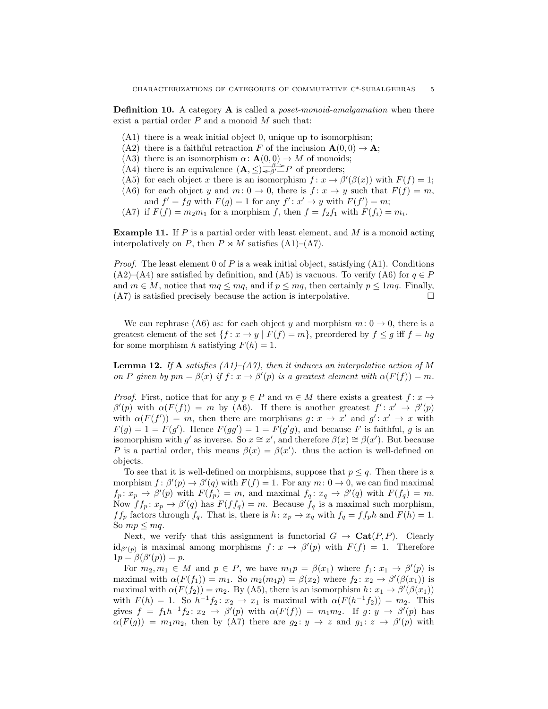**Definition 10.** A category **A** is called a *poset-monoid-amalgamation* when there exist a partial order  $P$  and a monoid  $M$  such that:

- (A1) there is a weak initial object 0, unique up to isomorphism;
- (A2) there is a faithful retraction F of the inclusion  $\mathbf{A}(0,0) \to \mathbf{A}$ ;
- (A3) there is an isomorphism  $\alpha: \mathbf{A}(0,0) \to M$  of monoids;
- (A4) there is an equivalence  $(A, \leq) \leq \beta \leq P$  of preorders;
- (A5) for each object x there is an isomorphism  $f: x \to \beta'(\beta(x))$  with  $F(f) = 1$ ;
- (A6) for each object y and  $m: 0 \to 0$ , there is  $f: x \to y$  such that  $F(f) = m$ , and  $f' = fg$  with  $F(g) = 1$  for any  $f' : x' \to y$  with  $F(f') = m$ ;
- (A7) if  $F(f) = m_2 m_1$  for a morphism f, then  $f = f_2 f_1$  with  $F(f_i) = m_i$ .

**Example 11.** If P is a partial order with least element, and M is a monoid acting interpolatively on P, then  $P \rtimes M$  satisfies (A1)–(A7).

*Proof.* The least element 0 of P is a weak initial object, satisfying  $(A1)$ . Conditions  $(A2)$ – $(A4)$  are satisfied by definition, and  $(A5)$  is vacuous. To verify  $(A6)$  for  $q \in P$ and  $m \in M$ , notice that  $mq \le mq$ , and if  $p \le mq$ , then certainly  $p \le 1mq$ . Finally,  $(A7)$  is satisfied precisely because the action is interpolative.

We can rephrase (A6) as: for each object y and morphism  $m: 0 \rightarrow 0$ , there is a greatest element of the set  $\{f : x \to y \mid F(f) = m\}$ , preordered by  $f \le g$  iff  $f = hg$ for some morphism h satisfying  $F(h) = 1$ .

**Lemma 12.** If A satisfies  $(A1)$ – $(A7)$ , then it induces an interpolative action of M on P given by  $pm = \beta(x)$  if  $f: x \to \beta'(p)$  is a greatest element with  $\alpha(F(f)) = m$ .

*Proof.* First, notice that for any  $p \in P$  and  $m \in M$  there exists a greatest  $f: x \to Y$  $β'(p)$  with  $α(F(f)) = m$  by (A6). If there is another greatest  $f': x' \rightarrow β'(p)$ with  $\alpha(F(f')) = m$ , then there are morphisms  $g: x \to x'$  and  $g': x' \to x$  with  $F(g) = 1 = F(g')$ . Hence  $F(gg') = 1 = F(g'g)$ , and because F is faithful, g is an isomorphism with g' as inverse. So  $x \cong x'$ , and therefore  $\beta(x) \cong \beta(x')$ . But because P is a partial order, this means  $\beta(x) = \beta(x')$ . thus the action is well-defined on objects.

To see that it is well-defined on morphisms, suppose that  $p \leq q$ . Then there is a morphism  $f: \beta'(p) \to \beta'(q)$  with  $F(f) = 1$ . For any  $m: 0 \to 0$ , we can find maximal  $f_p: x_p \to \beta'(p)$  with  $F(f_p) = m$ , and maximal  $f_q: x_q \to \beta'(q)$  with  $F(f_q) = m$ . Now  $ff_p: x_p \to \beta'(q)$  has  $F(ff_q) = m$ . Because  $f_q$  is a maximal such morphism,  $f f_p$  factors through  $f_q$ . That is, there is  $h: x_p \to x_q$  with  $f_q = f f_p h$  and  $F(h) = 1$ . So  $mp \leq mq$ .

Next, we verify that this assignment is functorial  $G \to \textbf{Cat}(P, P)$ . Clearly  $\mathrm{id}_{\beta'(p)}$  is maximal among morphisms  $f: x \to \beta'(p)$  with  $F(f) = 1$ . Therefore  $1p = \beta(\beta'(p)) = p.$ 

For  $m_2, m_1 \in M$  and  $p \in P$ , we have  $m_1 p = \beta(x_1)$  where  $f_1: x_1 \to \beta'(p)$  is maximal with  $\alpha(F(f_1)) = m_1$ . So  $m_2(m_1p) = \beta(x_2)$  where  $f_2: x_2 \to \beta'(\beta(x_1))$  is maximal with  $\alpha(F(f_2)) = m_2$ . By (A5), there is an isomorphism  $h: x_1 \to \beta'(\beta(x_1))$ with  $F(h) = 1$ . So  $h^{-1}f_2$ :  $x_2 \to x_1$  is maximal with  $\alpha(F(h^{-1}f_2)) = m_2$ . This gives  $f = f_1 h^{-1} f_2 \colon x_2 \to \beta'(p)$  with  $\alpha(F(f)) = m_1 m_2$ . If  $g: y \to \beta'(p)$  has  $\alpha(F(g)) = m_1 m_2$ , then by (A7) there are  $g_2: y \to z$  and  $g_1: z \to \beta'(p)$  with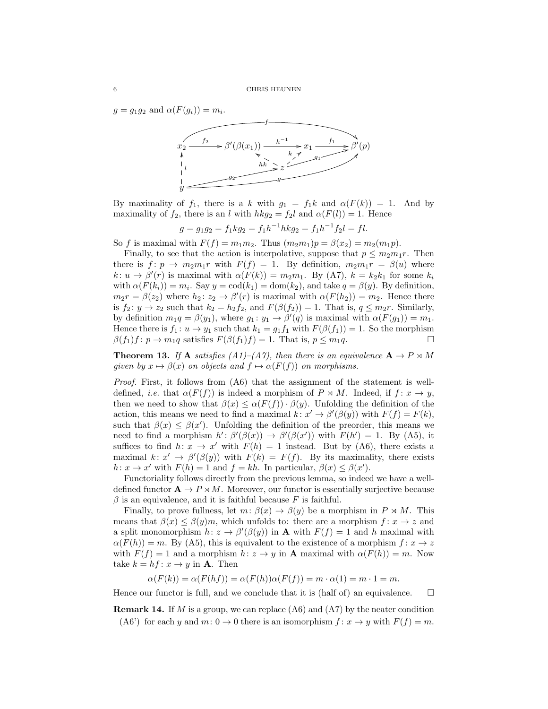$g = g_1 g_2$  and  $\alpha(F(g_i)) = m_i$ .



By maximality of  $f_1$ , there is a k with  $g_1 = f_1 k$  and  $\alpha(F(k)) = 1$ . And by maximality of  $f_2$ , there is an l with  $hkg_2 = f_2l$  and  $\alpha(F(l)) = 1$ . Hence

$$
g = g_1 g_2 = f_1 k g_2 = f_1 h^{-1} h k g_2 = f_1 h^{-1} f_2 l = fl.
$$

So f is maximal with  $F(f) = m_1 m_2$ . Thus  $(m_2 m_1)p = \beta(x_2) = m_2(m_1 p)$ .

Finally, to see that the action is interpolative, suppose that  $p \leq m_2 m_1 r$ . Then there is  $f: p \to m_2m_1r$  with  $F(f) = 1$ . By definition,  $m_2m_1r = \beta(u)$  where  $k: u \to \beta'(r)$  is maximal with  $\alpha(F(k)) = m_2m_1$ . By (A7),  $k = k_2k_1$  for some  $k_i$ with  $\alpha(F(k_i)) = m_i$ . Say  $y = \text{cod}(k_1) = \text{dom}(k_2)$ , and take  $q = \beta(y)$ . By definition,  $m_2r = \beta(z_2)$  where  $h_2: z_2 \to \beta'(r)$  is maximal with  $\alpha(F(h_2)) = m_2$ . Hence there is  $f_2: y \to z_2$  such that  $k_2 = h_2 f_2$ , and  $F(\beta(f_2)) = 1$ . That is,  $q \leq m_2 r$ . Similarly, by definition  $m_1q = \beta(y_1)$ , where  $g_1: y_1 \to \beta'(q)$  is maximal with  $\alpha(F(g_1)) = m_1$ . Hence there is  $f_1: u \to y_1$  such that  $k_1 = g_1 f_1$  with  $F(\beta(f_1)) = 1$ . So the morphism  $\beta(f_1)f : p \to m_1q$  satisfies  $F(\beta(f_1)f) = 1$ . That is,  $p \leq m_1q$ .

**Theorem 13.** If **A** satisfies (A1)–(A7), then there is an equivalence  $\mathbf{A} \to P \rtimes M$ given by  $x \mapsto \beta(x)$  on objects and  $f \mapsto \alpha(F(f))$  on morphisms.

Proof. First, it follows from  $(A6)$  that the assignment of the statement is welldefined, *i.e.* that  $\alpha(F(f))$  is indeed a morphism of  $P \rtimes M$ . Indeed, if  $f : x \to y$ , then we need to show that  $\beta(x) \leq \alpha(F(f)) \cdot \beta(y)$ . Unfolding the definition of the action, this means we need to find a maximal  $k: x' \to \beta'(\beta(y))$  with  $F(f) = F(k)$ , such that  $\beta(x) \leq \beta(x')$ . Unfolding the definition of the preorder, this means we need to find a morphism  $h' : \beta'(\beta(x)) \to \beta'(\beta(x'))$  with  $F(h') = 1$ . By (A5), it suffices to find  $h: x \to x'$  with  $F(h) = 1$  instead. But by (A6), there exists a maximal  $k: x' \to \beta'(\beta(y))$  with  $F(k) = F(f)$ . By its maximality, there exists  $h: x \to x'$  with  $F(h) = 1$  and  $f = kh$ . In particular,  $\beta(x) \leq \beta(x')$ .

Functoriality follows directly from the previous lemma, so indeed we have a welldefined functor  $\mathbf{A} \to P \rtimes M$ . Moreover, our functor is essentially surjective because  $\beta$  is an equivalence, and it is faithful because F is faithful.

Finally, to prove fullness, let  $m: \beta(x) \to \beta(y)$  be a morphism in  $P \rtimes M$ . This means that  $\beta(x) \leq \beta(y)m$ , which unfolds to: there are a morphism  $f: x \to z$  and a split monomorphism  $h: z \to \beta'(\beta(y))$  in **A** with  $F(f) = 1$  and h maximal with  $\alpha(F(h)) = m$ . By (A5), this is equivalent to the existence of a morphism  $f: x \to z$ with  $F(f) = 1$  and a morphism  $h: z \to y$  in **A** maximal with  $\alpha(F(h)) = m$ . Now take  $k = hf \colon x \to y$  in **A**. Then

$$
\alpha(F(k)) = \alpha(F(hf)) = \alpha(F(h))\alpha(F(f)) = m \cdot \alpha(1) = m \cdot 1 = m.
$$

Hence our functor is full, and we conclude that it is (half of) an equivalence.  $\Box$ 

**Remark 14.** If M is a group, we can replace  $(A6)$  and  $(A7)$  by the neater condition (A6') for each y and  $m: 0 \to 0$  there is an isomorphism  $f: x \to y$  with  $F(f) = m$ .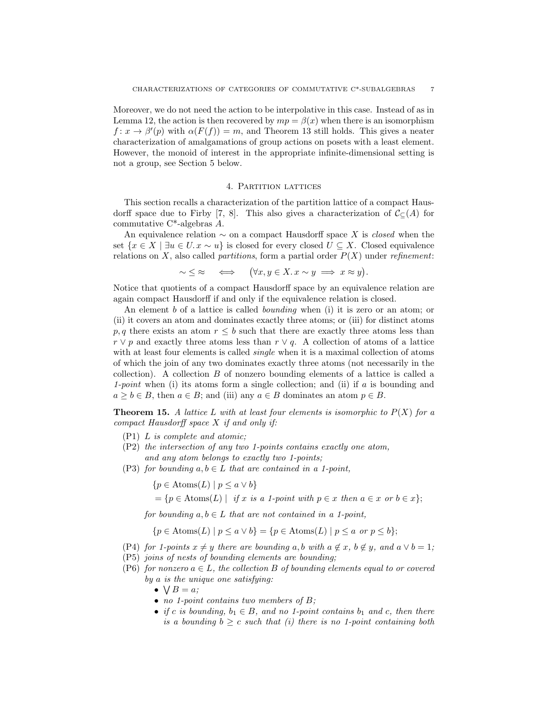Moreover, we do not need the action to be interpolative in this case. Instead of as in Lemma 12, the action is then recovered by  $mp = \beta(x)$  when there is an isomorphism  $f: x \to \beta'(p)$  with  $\alpha(F(f)) = m$ , and Theorem 13 still holds. This gives a neater characterization of amalgamations of group actions on posets with a least element. However, the monoid of interest in the appropriate infinite-dimensional setting is not a group, see Section 5 below.

# 4. Partition lattices

This section recalls a characterization of the partition lattice of a compact Hausdorff space due to Firby [7, 8]. This also gives a characterization of  $\mathcal{C}_{\mathbb{C}}(A)$  for commutative C\*-algebras A.

An equivalence relation  $\sim$  on a compact Hausdorff space X is *closed* when the set  $\{x \in X \mid \exists u \in U \ldots x \sim u\}$  is closed for every closed  $U \subseteq X$ . Closed equivalence relations on X, also called *partitions*, form a partial order  $P(X)$  under refinement:

$$
\sim \ \leq \ \approx \quad \Longleftrightarrow \quad (\forall x, y \in X. \ x \sim y \implies x \approx y).
$$

Notice that quotients of a compact Hausdorff space by an equivalence relation are again compact Hausdorff if and only if the equivalence relation is closed.

An element b of a lattice is called bounding when (i) it is zero or an atom; or (ii) it covers an atom and dominates exactly three atoms; or (iii) for distinct atoms p, q there exists an atom  $r \leq b$  such that there are exactly three atoms less than  $r \vee p$  and exactly three atoms less than  $r \vee q$ . A collection of atoms of a lattice with at least four elements is called *single* when it is a maximal collection of atoms of which the join of any two dominates exactly three atoms (not necessarily in the collection). A collection  $B$  of nonzero bounding elements of a lattice is called a 1-point when (i) its atoms form a single collection; and (ii) if a is bounding and  $a \geq b \in B$ , then  $a \in B$ ; and (iii) any  $a \in B$  dominates an atom  $p \in B$ .

**Theorem 15.** A lattice L with at least four elements is isomorphic to  $P(X)$  for a compact Hausdorff space X if and only if:

- (P1) L is complete and atomic;
- (P2) the intersection of any two 1-points contains exactly one atom, and any atom belongs to exactly two 1-points;
- (P3) for bounding  $a, b \in L$  that are contained in a 1-point,

$$
\{p \in \text{Atoms}(L) \mid p \le a \lor b\}
$$

$$
= \{ p \in \text{Atoms}(L) \mid \text{ if } x \text{ is a 1-point with } p \in x \text{ then } a \in x \text{ or } b \in x \};
$$

for bounding  $a, b \in L$  that are not contained in a 1-point,

$$
\{p \in \text{Atoms}(L) \mid p \le a \lor b\} = \{p \in \text{Atoms}(L) \mid p \le a \text{ or } p \le b\};
$$

- (P4) for 1-points  $x \neq y$  there are bounding a, b with  $a \notin x$ ,  $b \notin y$ , and  $a \vee b = 1$ ;
- (P5) joins of nests of bounding elements are bounding;
- (P6) for nonzero  $a \in L$ , the collection B of bounding elements equal to or covered by a is the unique one satisfying:
	- $\bullet \ \bigvee B = a;$
	- no 1-point contains two members of B;
	- if c is bounding,  $b_1 \in B$ , and no 1-point contains  $b_1$  and c, then there is a bounding  $b \geq c$  such that (i) there is no 1-point containing both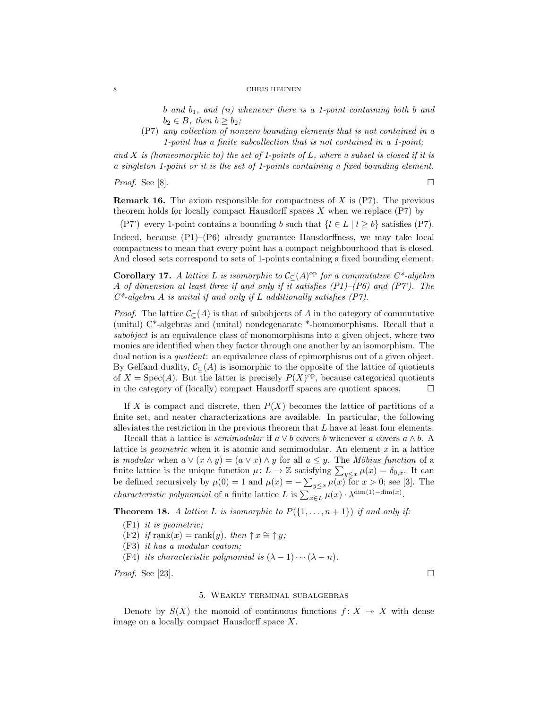#### 8 CHRIS HEUNEN

b and  $b_1$ , and (ii) whenever there is a 1-point containing both b and  $b_2 \in B$ , then  $b \geq b_2$ ;

(P7) any collection of nonzero bounding elements that is not contained in a 1-point has a finite subcollection that is not contained in a 1-point;

and X is (homeomorphic to) the set of 1-points of L, where a subset is closed if it is a singleton 1-point or it is the set of 1-points containing a fixed bounding element.

*Proof.* See [8].  $\Box$ 

**Remark 16.** The axiom responsible for compactness of  $X$  is  $(P7)$ . The previous theorem holds for locally compact Hausdorff spaces  $X$  when we replace  $(P7)$  by

(P7) every 1-point contains a bounding b such that  $\{l \in L \mid l \geq b\}$  satisfies (P7). Indeed, because (P1)–(P6) already guarantee Hausdorffness, we may take local compactness to mean that every point has a compact neighbourhood that is closed. And closed sets correspond to sets of 1-points containing a fixed bounding element.

**Corollary 17.** A lattice L is isomorphic to  $C_{\subseteq}(A)$ <sup>op</sup> for a commutative C<sup>\*</sup>-algebra A of dimension at least three if and only if it satisfies  $(P1)$ – $(P6)$  and  $(P7)$ . The  $C^*$ -algebra A is unital if and only if L additionally satisfies  $(P7)$ .

*Proof.* The lattice  $\mathcal{C}_{\mathbb{C}}(A)$  is that of subobjects of A in the category of commutative (unital) C\*-algebras and (unital) nondegenarate \*-homomorphisms. Recall that a subobject is an equivalence class of monomorphisms into a given object, where two monics are identified when they factor through one another by an isomorphism. The dual notion is a *quotient*: an equivalence class of epimorphisms out of a given object. By Gelfand duality,  $\mathcal{C}_{\mathsf{C}}(A)$  is isomorphic to the opposite of the lattice of quotients of  $X = \text{Spec}(A)$ . But the latter is precisely  $P(X)$ <sup>op</sup>, because categorical quotients in the category of (locally) compact Hausdorff spaces are quotient spaces.  $\Box$ 

If X is compact and discrete, then  $P(X)$  becomes the lattice of partitions of a finite set, and neater characterizations are available. In particular, the following alleviates the restriction in the previous theorem that  $L$  have at least four elements.

Recall that a lattice is *semimodular* if  $a \vee b$  covers b whenever a covers  $a \wedge b$ . A lattice is *geometric* when it is atomic and semimodular. An element  $x$  in a lattice is modular when  $a \vee (x \wedge y) = (a \vee x) \wedge y$  for all  $a \leq y$ . The Möbius function of a finite lattice is the unique function  $\mu: L \to \mathbb{Z}$  satisfying  $\sum_{y \leq x} \mu(x) = \delta_{0,x}$ . It can be defined recursively by  $\mu(0) = 1$  and  $\mu(x) = -\sum_{y \leq x} \mu(x)$  for  $x > 0$ ; see [3]. The *characteristic polynomial* of a finite lattice L is  $\sum_{x \in L} \mu(x) \cdot \lambda^{\dim(1) - \dim(x)}$ .

**Theorem 18.** A lattice L is isomorphic to  $P({1, \ldots, n+1})$  if and only if:

- (F1) it is geometric;
- (F2) if rank $(x) = \text{rank}(y)$ , then  $\uparrow x \cong \uparrow y$ ;
- (F3) it has a modular coatom;
- (F4) its characteristic polynomial is  $(\lambda 1) \cdots (\lambda n)$ .

*Proof.* See [23].

# 5. Weakly terminal subalgebras

Denote by  $S(X)$  the monoid of continuous functions  $f: X \rightarrow X$  with dense image on a locally compact Hausdorff space X.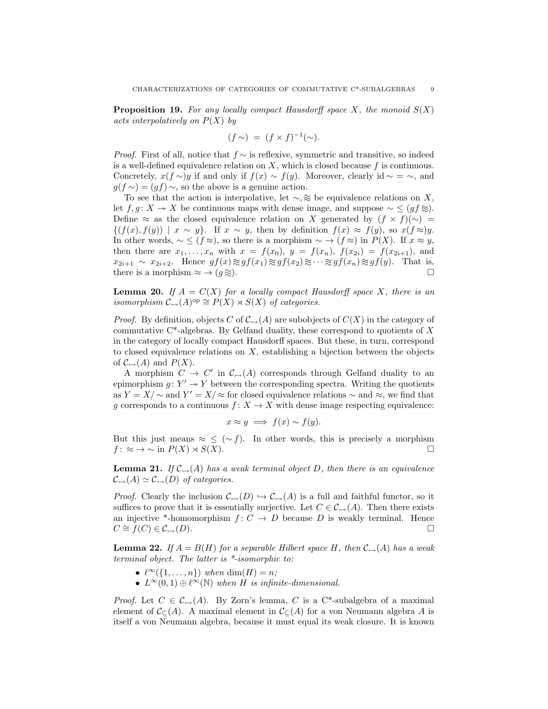**Proposition 19.** For any locally compact Hausdorff space X, the monoid  $S(X)$ acts interpolatively on  $P(X)$  by

$$
(f \sim) = (f \times f)^{-1}(\sim).
$$

*Proof.* First of all, notice that  $f \sim$  is reflexive, symmetric and transitive, so indeed is a well-defined equivalence relation on  $X$ , which is closed because  $f$  is continuous. Concretely,  $x(f \sim)y$  if and only if  $f(x) \sim f(y)$ . Moreover, clearly id  $\sim = \sim$ , and  $g(f \sim) = (gf) \sim$ , so the above is a genuine action.

To see that the action is interpolative, let  $\sim$ , ≈ be equivalence relations on X, let  $f, g: X \rightarrow X$  be continuous maps with dense image, and suppose  $\sim \leq (gf \otimes)$ . Define ≈ as the closed equivalence relation on X generated by  $(f \times f)(\sim)$  =  $\{(f(x), f(y)) \mid x \sim y\}.$  If  $x \sim y$ , then by definition  $f(x) \approx f(y)$ , so  $x(f \approx y)$ . In other words,  $\sim \leq (f \approx)$ , so there is a morphism  $\sim \to (f \approx)$  in  $P(X)$ . If  $x \approx y$ , then there are  $x_1, ..., x_n$  with  $x = f(x_0), y = f(x_n), f(x_{2i}) = f(x_{2i+1}),$  and  $x_{2i+1} \sim x_{2i+2}$ . Hence  $gf(x) \approx gf(x_1) \approx gf(x_2) \approx \cdots \approx gf(x_n) \approx gf(y)$ . That is,<br>there is a morphism  $\approx \rightarrow (a \approx)$ . there is a morphism  $\approx \rightarrow (g \otimes).$ 

**Lemma 20.** If  $A = C(X)$  for a locally compact Hausdorff space X, there is an isomorphism  $\mathcal{C}_{\rightarrow}(A)^\text{op} \cong P(X) \rtimes S(X)$  of categories.

*Proof.* By definition, objects C of  $\mathcal{C}_{\rightarrow}(A)$  are subobjects of  $C(X)$  in the category of commutative  $C^*$ -algebras. By Gelfand duality, these correspond to quotients of X in the category of locally compact Hausdorff spaces. But these, in turn, correspond to closed equivalence relations on  $X$ , establishing a bijection between the objects of  $\mathcal{C}_{\rightarrowtail}(A)$  and  $P(X)$ .

A morphism  $C \to C'$  in  $\mathcal{C}_{\to}(A)$  corresponds through Gelfand duality to an epimorphism  $g: Y' \rightarrow Y$  between the corresponding spectra. Writing the quotients as  $Y = X/\sim$  and  $Y' = X/\approx$  for closed equivalence relations  $\sim$  and  $\approx$ , we find that g corresponds to a continuous  $f: X \to X$  with dense image respecting equivalence:

$$
x \approx y \implies f(x) \sim f(y).
$$

But this just means  $\approx \leq (\sim f)$ . In other words, this is precisely a morphism  $f: \approx \to \sim$  in  $P(X) \rtimes S(X)$ .

**Lemma 21.** If  $\mathcal{C}_{\rightarrow}(A)$  has a weak terminal object D, then there is an equivalence  $\mathcal{C}_{\rightarrowtail}(A) \simeq \mathcal{C}_{\rightarrowtail}(D)$  of categories.

*Proof.* Clearly the inclusion  $\mathcal{C}_{\rightarrow}(D) \hookrightarrow \mathcal{C}_{\rightarrow}(A)$  is a full and faithful functor, so it suffices to prove that it is essentially surjective. Let  $C \in \mathcal{C}_{\rightarrow}(A)$ . Then there exists an injective \*-homomorphism  $f: C \to D$  because D is weakly terminal. Hence  $C \cong f(C) \in \mathcal{C}_{\rightarrow}(D).$ 

**Lemma 22.** If  $A = B(H)$  for a separable Hilbert space H, then  $\mathcal{C}_{\rightarrow}(A)$  has a weak terminal object. The latter is \*-isomorphic to:

- $\ell^{\infty}(\{1, \ldots, n\})$  when  $\dim(H) = n;$
- $L^{\infty}(0,1) \oplus \ell^{\infty}(\mathbb{N})$  when H is infinite-dimensional.

*Proof.* Let  $C \in \mathcal{C}_{\rightarrow}(A)$ . By Zorn's lemma, C is a C<sup>\*</sup>-subalgebra of a maximal element of  $\mathcal{C}_{\subset}(A)$ . A maximal element in  $\mathcal{C}_{\subset}(A)$  for a von Neumann algebra A is itself a von Neumann algebra, because it must equal its weak closure. It is known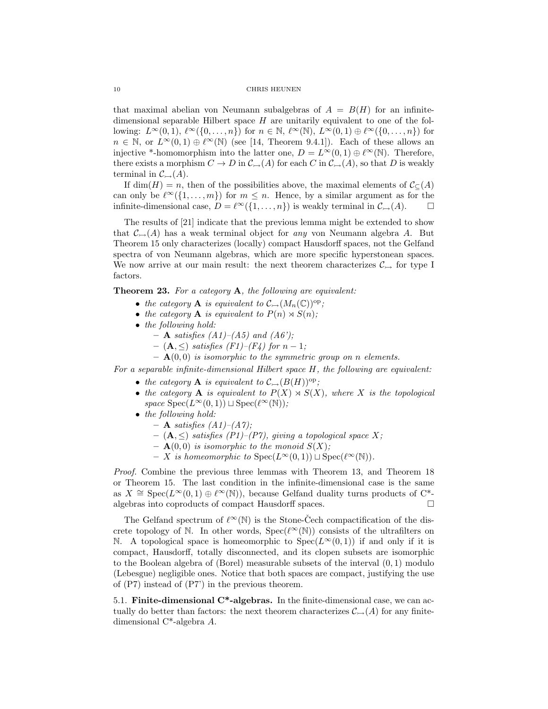# 10 CHRIS HEUNEN

that maximal abelian von Neumann subalgebras of  $A = B(H)$  for an infinitedimensional separable Hilbert space  $H$  are unitarily equivalent to one of the following:  $L^{\infty}(0, 1), \ell^{\infty}(\{0, ..., n\})$  for  $n \in \mathbb{N}, \ell^{\infty}(\mathbb{N}), L^{\infty}(0, 1) \oplus \ell^{\infty}(\{0, ..., n\})$  for  $n \in \mathbb{N}$ , or  $L^{\infty}(0,1) \oplus \ell^{\infty}(\mathbb{N})$  (see [14, Theorem 9.4.1]). Each of these allows an injective \*-homomorphism into the latter one,  $D = L^{\infty}(0, 1) \oplus \ell^{\infty}(\mathbb{N})$ . Therefore, there exists a morphism  $C \to D$  in  $\mathcal{C}_{\to}(A)$  for each C in  $\mathcal{C}_{\to}(A)$ , so that D is weakly terminal in  $\mathcal{C}_{\rightarrow}(A)$ .

If dim(H) = n, then of the possibilities above, the maximal elements of  $\mathcal{C}_{\subseteq}(A)$ can only be  $\ell^{\infty}(\{1, ..., m\})$  for  $m \leq n$ . Hence, by a similar argument as for the infinite-dimensional case,  $D = \ell^{\infty}(\{1, ..., n\})$  is weakly terminal in  $\mathcal{C}_{\rightarrow}(A)$ .  $\square$ 

The results of [21] indicate that the previous lemma might be extended to show that  $\mathcal{C}_{\rightarrow}(A)$  has a weak terminal object for any von Neumann algebra A. But Theorem 15 only characterizes (locally) compact Hausdorff spaces, not the Gelfand spectra of von Neumann algebras, which are more specific hyperstonean spaces. We now arrive at our main result: the next theorem characterizes  $\mathcal{C}_{\rightarrow}$  for type I factors.

Theorem 23. For a category A, the following are equivalent:

- the category **A** is equivalent to  $C_{\rightarrow}(M_n(\mathbb{C}))^{\text{op}}$ ;
- the category **A** is equivalent to  $P(n) \rtimes S(n)$ ;
- the following hold:
	- $-$  **A** satisfies  $(A1)$ – $(A5)$  and  $(A6')$ ;
	- $-$  (**A**,  $\leq$ ) satisfies (F1)–(F4) for  $n-1$ ;
	- $\mathbf{A}(0,0)$  is isomorphic to the symmetric group on n elements.

For a separable infinite-dimensional Hilbert space H, the following are equivalent:

- the category **A** is equivalent to  $\mathcal{C}_{\rightarrow}(B(H))^{\text{op}}$ ;
- the category **A** is equivalent to  $P(X) \rtimes S(X)$ , where X is the topological space  $Spec(L^{\infty}(0, 1)) \sqcup Spec(\ell^{\infty}(N))$ ;
- the following hold:
	- $-$  **A** satisfies  $(A1)$ – $(A7)$ ;
	- $-$  (**A**,  $\leq$ ) satisfies (P1)–(P7), giving a topological space X;
	- $-$  **A**(0,0) is isomorphic to the monoid  $S(X)$ ;
	- X is homeomorphic to Spec( $L^{\infty}(0, 1)$ ) ⊔ Spec( $\ell^{\infty}(\mathbb{N})$ ).

Proof. Combine the previous three lemmas with Theorem 13, and Theorem 18 or Theorem 15. The last condition in the infinite-dimensional case is the same as  $X \cong \text{Spec}(L^{\infty}(0, 1) \oplus \ell^{\infty}(\mathbb{N}))$ , because Gelfand duality turns products of C<sup>\*</sup>algebras into coproducts of compact Hausdorff spaces.

The Gelfand spectrum of  $\ell^{\infty}(\mathbb{N})$  is the Stone-Cech compactification of the discrete topology of N. In other words,  $Spec(\ell^{\infty}(N))$  consists of the ultrafilters on N. A topological space is homeomorphic to  $Spec(L^{\infty}(0, 1))$  if and only if it is compact, Hausdorff, totally disconnected, and its clopen subsets are isomorphic to the Boolean algebra of (Borel) measurable subsets of the interval (0, 1) modulo (Lebesgue) negligible ones. Notice that both spaces are compact, justifying the use of (P7) instead of (P7') in the previous theorem.

5.1. Finite-dimensional C\*-algebras. In the finite-dimensional case, we can actually do better than factors: the next theorem characterizes  $\mathcal{C}_{\rightarrow}(A)$  for any finitedimensional C\*-algebra A.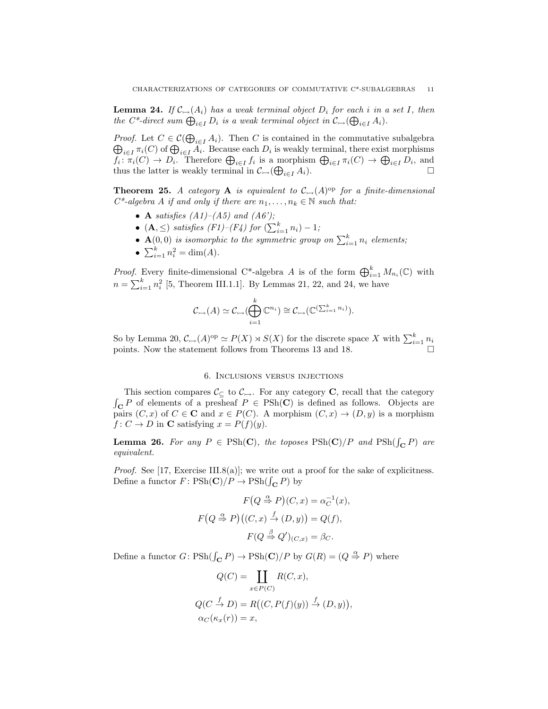**Lemma 24.** If  $\mathcal{C}_{\rightarrow}(A_i)$  has a weak terminal object  $D_i$  for each i in a set I, then the C<sup>\*</sup>-direct sum  $\bigoplus_{i\in I} D_i$  is a weak terminal object in  $\mathcal{C}_{\rightarrow}(\bigoplus_{i\in I} A_i)$ .

*Proof.* Let  $C \in \mathcal{C}(\bigoplus_{i \in I} A_i)$ . Then C is contained in the commutative subalgebra  $\bigoplus_{i\in I}\pi_i(C)$  of  $\bigoplus_{i\in I}A_i$ . Because each  $D_i$  is weakly terminal, there exist morphisms  $f_i: \pi_i(C) \to D_i$ . Therefore  $\bigoplus_{i \in I} f_i$  is a morphism  $\bigoplus_{i \in I} \pi_i(C) \to \bigoplus_{i \in I} D_i$ , and thus the latter is weakly terminal in  $\mathcal{C}_{\rightarrow}(\bigoplus$  $\sum_{i\in I} A_i$ ).

**Theorem 25.** A category **A** is equivalent to  $\mathcal{C}_{\rightarrow}(A)$ <sup>op</sup> for a finite-dimensional  $C^*$ -algebra A if and only if there are  $n_1, \ldots, n_k \in \mathbb{N}$  such that:

- A satisfies  $(A1)$ – $(A5)$  and  $(A6)$ ;
- (A,  $\leq$ ) satisfies (F1)–(F4) for  $(\sum_{i=1}^{k} n_i) 1;$
- $\mathbf{A}(0,0)$  is isomorphic to the symmetric group on  $\sum_{i=1}^{k} n_i$  elements;
- $\sum_{i=1}^{k} n_i^2 = \dim(A)$ .

*Proof.* Every finite-dimensional C<sup>\*</sup>-algebra A is of the form  $\bigoplus_{i=1}^k M_{n_i}(\mathbb{C})$  with  $n = \sum_{i=1}^{k} n_i^2$  [5, Theorem III.1.1]. By Lemmas 21, 22, and 24, we have

$$
\mathcal{C}_{\rightarrow}(A) \simeq \mathcal{C}_{\rightarrow}(\bigoplus_{i=1}^k \mathbb{C}^{n_i}) \cong \mathcal{C}_{\rightarrow}(\mathbb{C}^{(\sum_{i=1}^k n_i)}).
$$

So by Lemma 20,  $\mathcal{C}_{\rightarrow}(A)^\text{op} \simeq P(X) \rtimes S(X)$  for the discrete space X with  $\sum_{i=1}^{k} n_i$ points. Now the statement follows from Theorems 13 and 18.

# 6. Inclusions versus injections

This section compares  $\mathcal{C}_{\subseteq}$  to  $\mathcal{C}_{\rightarrow}$ . For any category **C**, recall that the category  $\int_{\mathbf{C}} P$  of elements of a presheaf  $P \in \text{PSh}(\mathbf{C})$  is defined as follows. Objects are pairs  $(C, x)$  of  $C \in \mathbf{C}$  and  $x \in P(C)$ . A morphism  $(C, x) \to (D, y)$  is a morphism  $f: C \to D$  in **C** satisfying  $x = P(f)(y)$ .

**Lemma 26.** For any  $P \in \text{PSh}(\mathbf{C})$ , the toposes  $\text{PSh}(\mathbf{C})/P$  and  $\text{PSh}(\int_{\mathbf{C}} P)$  are equivalent.

*Proof.* See [17, Exercise III.8(a)]; we write out a proof for the sake of explicitness. Define a functor  $F: \mathrm{PSh}(\mathbf{C})/P \to \mathrm{PSh}(\int_{\mathbf{C}} P)$  by

$$
F(Q \stackrel{\alpha}{\Rightarrow} P)(C, x) = \alpha_C^{-1}(x),
$$
  

$$
F(Q \stackrel{\alpha}{\Rightarrow} P)((C, x) \stackrel{f}{\rightarrow} (D, y)) = Q(f),
$$
  

$$
F(Q \stackrel{\beta}{\Rightarrow} Q')(C, x) = \beta_C.
$$

Define a functor  $G \colon \text{PSh}(\int_{\mathbf{C}} P) \to \text{PSh}(\mathbf{C})/P$  by  $G(R) = (Q \stackrel{\alpha}{\Rightarrow} P)$  where

$$
Q(C) = \coprod_{x \in P(C)} R(C, x),
$$
  
\n
$$
Q(C \stackrel{f}{\rightarrow} D) = R((C, P(f)(y)) \stackrel{f}{\rightarrow} (D, y))
$$
  
\n
$$
\alpha_C(\kappa_x(r)) = x,
$$

,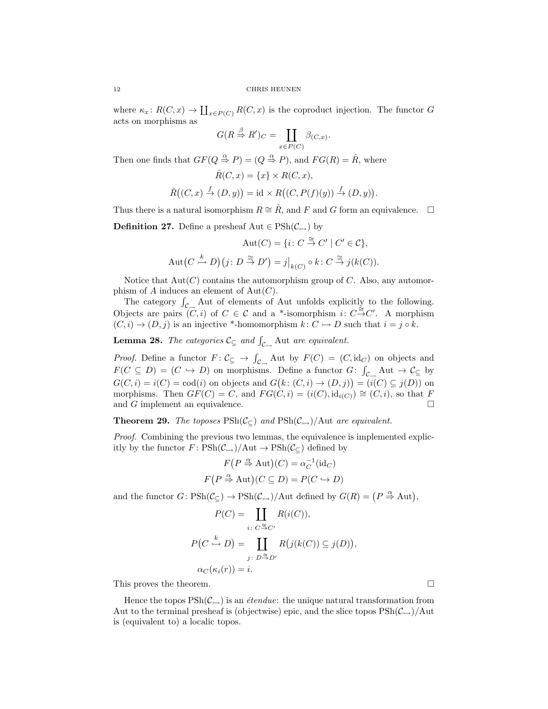where  $\kappa_x \colon R(C, x) \to \coprod_{x \in P(C)} R(C, x)$  is the coproduct injection. The functor G acts on morphisms as

$$
G(R \stackrel{\beta}{\Rightarrow} R')_C = \coprod_{x \in P(C)} \beta_{(C,x)}.
$$

Then one finds that  $GF(Q \overset{\alpha}{\Rightarrow} P) = (Q \overset{\alpha}{\Rightarrow} P)$ , and  $FG(R) = \hat{R}$ , where

$$
\hat{R}(C, x) = \{x\} \times R(C, x),
$$
  

$$
\hat{R}((C, x) \stackrel{f}{\to} (D, y)) = \text{id} \times R((C, P(f)(y)) \stackrel{f}{\to} (D, y)).
$$

Thus there is a natural isomorphism  $R \cong \hat{R}$ , and F and G form an equivalence.  $\square$ 

**Definition 27.** Define a presheaf Aut  $\in \mathrm{PSh}(\mathcal{C}_{\rightarrow})$  by

$$
\operatorname{Aut}(C) = \{i \colon C \stackrel{\cong}{\to} C' \mid C' \in \mathcal{C}\},
$$
  

$$
\operatorname{Aut}(C \stackrel{k}{\to} D)(j \colon D \stackrel{\cong}{\to} D') = j|_{k(C)} \circ k \colon C \stackrel{\cong}{\to} j(k(C)).
$$

Notice that  $Aut(C)$  contains the automorphism group of C. Also, any automorphism of A induces an element of  $Aut(C)$ .

The category  $\int_{\mathcal{C}_{\square}}$  Aut of elements of Aut unfolds explicitly to the following. Objects are pairs  $(C, i)$  of  $C \in \mathcal{C}$  and a \*-isomorphism  $i: C \stackrel{\simeq}{\to} C'$ . A morphism  $(C, i) \rightarrow (D, j)$  is an injective \*-homomorphism  $k: C \rightarrow D$  such that  $i = j \circ k$ .

**Lemma 28.** The categories  $\mathcal{C}_{\subseteq}$  and  $\int_{\mathcal{C}_{\longrightarrow}}$  Aut are equivalent.

*Proof.* Define a functor  $F: \mathcal{C}_{\subseteq} \to \int_{\mathcal{C}_{\longrightarrow}}$  Aut by  $F(C) = (C, id_C)$  on objects and  $F(C \subseteq D) = (C \hookrightarrow D)$  on morphisms. Define a functor  $G: \int_{\mathcal{C}_{\longrightarrow}} Aut \to \mathcal{C}_{\subseteq}$  by  $G(C, i) = i(C) = \text{cod}(i)$  on objects and  $G(k: (C, i) \to (D, j)) = (i(C) \subseteq j(D))$  on morphisms. Then  $GF(C) = C$ , and  $FG(C, i) = (i(C), id_{i(C)}) \cong (C, i)$ , so that F and G implement an equivalence.  $\Box$ 

**Theorem 29.** The toposes  $\text{PSh}(\mathcal{C}_{\subset})$  and  $\text{PSh}(\mathcal{C}_{\rightarrow})/\text{Aut}$  are equivalent.

Proof. Combining the previous two lemmas, the equivalence is implemented explicitly by the functor  $F: \text{PSh}(\mathcal{C}_{\rightarrow})/\text{Aut} \rightarrow \text{PSh}(\mathcal{C}_{\subseteq})$  defined by

$$
F(P \stackrel{\alpha}{\Rightarrow} \text{Aut})(C) = \alpha_C^{-1}(\text{id}_C)
$$

$$
F(P \stackrel{\alpha}{\Rightarrow} \text{Aut})(C \subseteq D) = P(C \hookrightarrow D)
$$

and the functor  $G: \text{PSh}(\mathcal{C}_{\subseteq}) \to \text{PSh}(\mathcal{C}_{\hookrightarrow})/\text{Aut}$  defined by  $G(R) = (P \overset{\alpha}{\Rightarrow} \text{Aut}),$ 

$$
P(C) = \coprod_{i \colon C \stackrel{\cong}{\to} C'} R(i(C)),
$$

$$
P(C \stackrel{k}{\to} D) = \coprod_{j \colon D \stackrel{\cong}{\to} D'} R(j(k(C)) \subseteq j(D)),
$$

$$
\alpha_C(\kappa_i(r)) = i.
$$

This proves the theorem.

Hence the topos  $\text{PSh}(\mathcal{C}_{\rightarrow})$  is an *étendue*: the unique natural transformation from Aut to the terminal presheaf is (objectwise) epic, and the slice topos  $\mathrm{PSh(\mathcal{C}_{\rightarrow})}/\mathrm{Aut}$ is (equivalent to) a localic topos.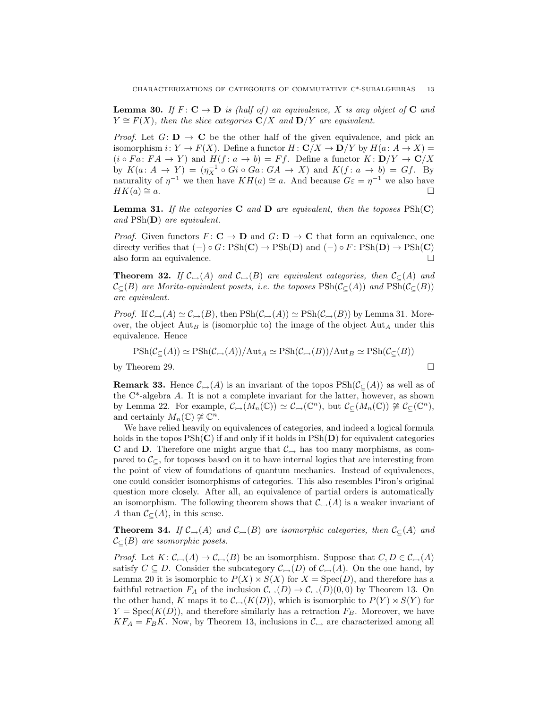**Lemma 30.** If  $F: \mathbf{C} \to \mathbf{D}$  is (half of) an equivalence, X is any object of  $\mathbf{C}$  and  $Y \cong F(X)$ , then the slice categories  $\mathbb{C}/X$  and  $\mathbb{D}/Y$  are equivalent.

*Proof.* Let  $G: D \to \mathbb{C}$  be the other half of the given equivalence, and pick an isomorphism  $i: Y \to F(X)$ . Define a functor  $H: \mathbf{C}/X \to \mathbf{D}/Y$  by  $H(a: A \to X) =$  $(i \circ Fa: FA \to Y)$  and  $H(f: a \to b) = Ff$ . Define a functor  $K: D/Y \to C/X$ by  $K(a: A \to Y) = (\eta_X^{-1} \circ Gi \circ Ga: GA \to X)$  and  $K(f: a \to b) = Gf$ . By naturality of  $\eta^{-1}$  we then have  $KH(a) \cong a$ . And because  $G\varepsilon = \eta^{-1}$  we also have  $HK(a) \cong a.$ 

**Lemma 31.** If the categories **C** and **D** are equivalent, then the toposes  $\text{PSh}(\mathbf{C})$ and  $\text{PSh}(\mathbf{D})$  are equivalent.

*Proof.* Given functors  $F: \mathbf{C} \to \mathbf{D}$  and  $G: \mathbf{D} \to \mathbf{C}$  that form an equivalence, one directy verifies that  $(-) \circ G : \mathrm{PSh}(\mathbf{C}) \to \mathrm{PSh}(\mathbf{D})$  and  $(-) \circ F : \mathrm{PSh}(\mathbf{D}) \to \mathrm{PSh}(\mathbf{C})$ also form an equivalence.  $\Box$ 

**Theorem 32.** If  $\mathcal{C}_{\rightarrow}(A)$  and  $\mathcal{C}_{\rightarrow}(B)$  are equivalent categories, then  $\mathcal{C}_{\subseteq}(A)$  and  $\mathcal{C}_{\subset}(B)$  are Morita-equivalent posets, i.e. the toposes  $\text{PSh}(\mathcal{C}_{\subset}(A))$  and  $\text{PSh}(\mathcal{C}_{\subset}(B))$ are equivalent.

*Proof.* If  $\mathcal{C}_{\rightarrow}(A) \simeq \mathcal{C}_{\rightarrow}(B)$ , then  $\mathrm{PSh}(\mathcal{C}_{\rightarrow}(A)) \simeq \mathrm{PSh}(\mathcal{C}_{\rightarrow}(B))$  by Lemma 31. Moreover, the object  $\text{Aut}_B$  is (isomorphic to) the image of the object  $\text{Aut}_A$  under this equivalence. Hence

$$
\mathrm{PSh}(\mathcal{C}_{\subseteq}(A)) \simeq \mathrm{PSh}(\mathcal{C}_{\rightarrow}(A)) / \mathrm{Aut}_A \simeq \mathrm{PSh}(\mathcal{C}_{\rightarrow}(B)) / \mathrm{Aut}_B \simeq \mathrm{PSh}(\mathcal{C}_{\subseteq}(B))
$$

by Theorem 29.  $\Box$ 

**Remark 33.** Hence  $\mathcal{C}_{\rightarrow}(A)$  is an invariant of the topos  $\text{PSh}(\mathcal{C}_{\subseteq}(A))$  as well as of the  $C^*$ -algebra A. It is not a complete invariant for the latter, however, as shown by Lemma 22. For example,  $\mathcal{C}_{\rightarrow}(M_n(\mathbb{C})) \simeq \mathcal{C}_{\rightarrow}(\mathbb{C}^n)$ , but  $\mathcal{C}_{\subseteq}(M_n(\mathbb{C})) \not\cong \mathcal{C}_{\subseteq}(\mathbb{C}^n)$ , and certainly  $M_n(\mathbb{C}) \not\cong \mathbb{C}^n$ .

We have relied heavily on equivalences of categories, and indeed a logical formula holds in the topos  $\text{PSh}(\mathbf{C})$  if and only if it holds in  $\text{PSh}(\mathbf{D})$  for equivalent categories **C** and **D**. Therefore one might argue that  $C_{\rightarrow}$  has too many morphisms, as compared to  $\mathcal{C}_{\subset}$ , for toposes based on it to have internal logics that are interesting from the point of view of foundations of quantum mechanics. Instead of equivalences, one could consider isomorphisms of categories. This also resembles Piron's original question more closely. After all, an equivalence of partial orders is automatically an isomorphism. The following theorem shows that  $\mathcal{C}_{\rightarrow}(A)$  is a weaker invariant of A than  $\mathcal{C}_{\subset}(A)$ , in this sense.

**Theorem 34.** If  $\mathcal{C}_{\rightarrow}(A)$  and  $\mathcal{C}_{\rightarrow}(B)$  are isomorphic categories, then  $\mathcal{C}_{\subseteq}(A)$  and  $\mathcal{C}_{\subset}(B)$  are isomorphic posets.

*Proof.* Let  $K: \mathcal{C}_{\rightarrow}(A) \rightarrow \mathcal{C}_{\rightarrow}(B)$  be an isomorphism. Suppose that  $C, D \in \mathcal{C}_{\rightarrow}(A)$ satisfy  $C \subseteq D$ . Consider the subcategory  $\mathcal{C}_{\rightarrow}(D)$  of  $\mathcal{C}_{\rightarrow}(A)$ . On the one hand, by Lemma 20 it is isomorphic to  $P(X) \rtimes S(X)$  for  $X = \text{Spec}(D)$ , and therefore has a faithful retraction  $F_A$  of the inclusion  $\mathcal{C}_{\rightarrow}(D) \rightarrow \mathcal{C}_{\rightarrow}(D)(0, 0)$  by Theorem 13. On the other hand, K maps it to  $\mathcal{C}_{\rightarrow}(K(D))$ , which is isomorphic to  $P(Y) \rtimes S(Y)$  for  $Y = \text{Spec}(K(D))$ , and therefore similarly has a retraction  $F_B$ . Moreover, we have  $KF_A = F_BK$ . Now, by Theorem 13, inclusions in  $\mathcal{C}_{\rightarrow}$  are characterized among all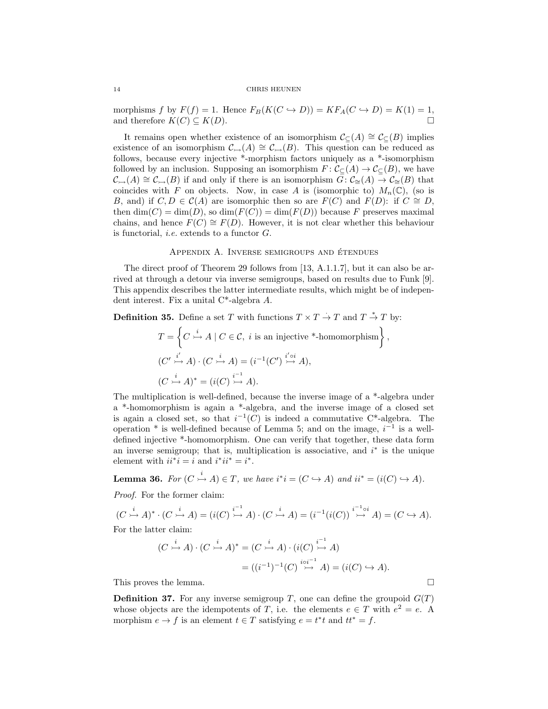morphisms f by  $F(f) = 1$ . Hence  $F_B(K(C \hookrightarrow D)) = K F_A(C \hookrightarrow D) = K(1) = 1$ , and therefore  $K(C) \subseteq K(D)$ .

It remains open whether existence of an isomorphism  $\mathcal{C}_{\subset}(A) \cong \mathcal{C}_{\subset}(B)$  implies existence of an isomorphism  $\mathcal{C}_{\rightarrow}(A) \cong \mathcal{C}_{\rightarrow}(B)$ . This question can be reduced as follows, because every injective \*-morphism factors uniquely as a \*-isomorphism followed by an inclusion. Supposing an isomorphism  $F: \mathcal{C}_{\mathbb{C}}(A) \to \mathcal{C}_{\mathbb{C}}(B)$ , we have  $\mathcal{C}_{\rightarrow}(A) \cong \mathcal{C}_{\rightarrow}(B)$  if and only if there is an isomorphism  $G: \mathcal{C}_{\cong}(A) \to \mathcal{C}_{\cong}(B)$  that coincides with F on objects. Now, in case A is (isomorphic to)  $M_n(\mathbb{C})$ , (so is B, and) if  $C, D \in \mathcal{C}(A)$  are isomorphic then so are  $F(C)$  and  $F(D)$ : if  $C \cong D$ , then  $\dim(C) = \dim(D)$ , so  $\dim(F(C)) = \dim(F(D))$  because F preserves maximal chains, and hence  $F(C) \cong F(D)$ . However, it is not clear whether this behaviour is functorial, i.e. extends to a functor G.

## APPENDIX A. INVERSE SEMIGROUPS AND ÉTENDUES

The direct proof of Theorem 29 follows from [13, A.1.1.7], but it can also be arrived at through a detour via inverse semigroups, based on results due to Funk [9]. This appendix describes the latter intermediate results, which might be of independent interest. Fix a unital C\*-algebra A.

**Definition 35.** Define a set T with functions  $T \times T \to T$  and  $T \stackrel{*}{\to} T$  by:

$$
T = \left\{ C \stackrel{i}{\rightarrow} A \mid C \in \mathcal{C}, i \text{ is an injective *-homomorphism} \right\},\
$$
  

$$
(C' \stackrel{i'}{\rightarrow} A) \cdot (C \stackrel{i}{\rightarrow} A) = (i^{-1}(C') \stackrel{i' \circ i}{\rightarrow} A),
$$
  

$$
(C \stackrel{i}{\rightarrow} A)^* = (i(C) \stackrel{i^{-1}}{\rightarrow} A).
$$

The multiplication is well-defined, because the inverse image of a \*-algebra under a \*-homomorphism is again a \*-algebra, and the inverse image of a closed set is again a closed set, so that  $i^{-1}(C)$  is indeed a commutative C<sup>\*</sup>-algebra. The operation  $*$  is well-defined because of Lemma 5; and on the image,  $i^{-1}$  is a welldefined injective \*-homomorphism. One can verify that together, these data form an inverse semigroup; that is, multiplication is associative, and  $i^*$  is the unique element with  $ii^*i = i$  and  $i^*ii^* = i^*$ .

**Lemma 36.** For 
$$
(C \xrightarrow{i} A) \in T
$$
, we have  $i^*i = (C \hookrightarrow A)$  and  $ii^* = (i(C) \hookrightarrow A)$ .

Proof. For the former claim:

$$
(C \xrightarrow{i} A)^* \cdot (C \xrightarrow{i} A) = (i(C) \xrightarrow{i-1} A) \cdot (C \xrightarrow{i} A) = (i^{-1}(i(C)) \xrightarrow{i^{-1} \circ i} A) = (C \hookrightarrow A).
$$

For the latter claim:

$$
(C \xrightarrow{i} A) \cdot (C \xrightarrow{i} A)^* = (C \xrightarrow{i} A) \cdot (i(C) \xrightarrow{i-1} A)
$$

$$
= ((i^{-1})^{-1}(C) \xrightarrow{i \circ i^{-1}} A) = (i(C) \hookrightarrow A).
$$

This proves the lemma.

**Definition 37.** For any inverse semigroup T, one can define the groupoid  $G(T)$ whose objects are the idempotents of T, i.e. the elements  $e \in T$  with  $e^2 = e$ . A morphism  $e \to f$  is an element  $t \in T$  satisfying  $e = t^*t$  and  $tt^* = f$ .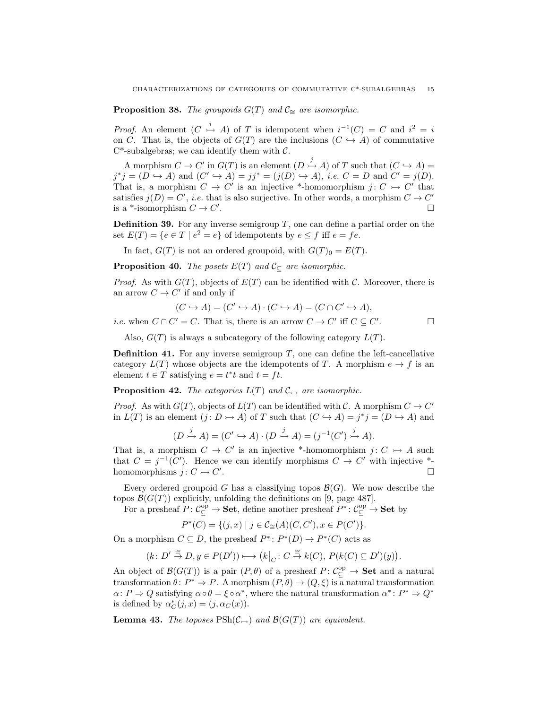**Proposition 38.** The groupoids  $G(T)$  and  $C_$ <sup> $\cong$ </sup> are isomorphic.

*Proof.* An element  $(C \stackrel{i}{\rightarrow} A)$  of T is idempotent when  $i^{-1}(C) = C$  and  $i^2 = i$ on C. That is, the objects of  $G(T)$  are the inclusions  $(C \hookrightarrow A)$  of commutative  $C^*$ -subalgebras; we can identify them with  $C$ .

A morphism  $C \to C'$  in  $G(T)$  is an element  $(D \to A)$  of T such that  $(C \hookrightarrow A)$  =  $j^*j = (D \hookrightarrow A)$  and  $(C' \hookrightarrow A) = jj^* = (j(D) \hookrightarrow A)$ , *i.e.*  $C = D$  and  $C' = j(D)$ . That is, a morphism  $C \to C'$  is an injective \*-homomorphism  $j: C \to C'$  that satisfies  $j(D) = C'$ , *i.e.* that is also surjective. In other words, a morphism  $C \to C'$ is a \*-isomorphism  $C \to C'$ . В последните последните последните последните последните последните последните последните последните последн<br>В последните последните последните последните последните последните последните последните последните последнит

**Definition 39.** For any inverse semigroup  $T$ , one can define a partial order on the set  $E(T) = \{e \in T \mid e^2 = e\}$  of idempotents by  $e \leq f$  iff  $e = fe$ .

In fact,  $G(T)$  is not an ordered groupoid, with  $G(T)_0 = E(T)$ .

**Proposition 40.** The posets  $E(T)$  and  $C_{\subseteq}$  are isomorphic.

*Proof.* As with  $G(T)$ , objects of  $E(T)$  can be identified with C. Moreover, there is an arrow  $C \to C'$  if and only if

$$
(C \hookrightarrow A) = (C' \hookrightarrow A) \cdot (C \hookrightarrow A) = (C \cap C' \hookrightarrow A),
$$

*i.e.* when  $C \cap C' = C$ . That is, there is an arrow  $C \to C'$  iff  $C \subseteq C'$ . — П

Also,  $G(T)$  is always a subcategory of the following category  $L(T)$ .

**Definition 41.** For any inverse semigroup  $T$ , one can define the left-cancellative category  $L(T)$  whose objects are the idempotents of T. A morphism  $e \to f$  is an element  $t \in T$  satisfying  $e = t^*t$  and  $t = ft$ .

**Proposition 42.** The categories  $L(T)$  and  $\mathcal{C}_{\rightarrow}$  are isomorphic.

*Proof.* As with  $G(T)$ , objects of  $L(T)$  can be identified with C. A morphism  $C \to C'$ in  $L(T)$  is an element  $(j: D \rightarrow A)$  of T such that  $(C \hookrightarrow A) = j^*j = (D \hookrightarrow A)$  and

$$
(D \xrightarrow{j} A) = (C' \hookrightarrow A) \cdot (D \xrightarrow{j} A) = (j^{-1}(C') \xrightarrow{j} A).
$$

That is, a morphism  $C \to C'$  is an injective \*-homomorphism  $j: C \to A$  such that  $C = j^{-1}(C')$ . Hence we can identify morphisms  $C \to C'$  with injective \*homomorphisms  $j: C \rightarrowtail C'$ . В последните последните последните последните последните последните последните последните последните последн<br>В последните последните последните последните последните последните последните последните последните последнит

Every ordered groupoid G has a classifying topos  $\mathcal{B}(G)$ . We now describe the topos  $\mathcal{B}(G(T))$  explicitly, unfolding the definitions on [9, page 487].

For a presheaf  $P: C_{\subseteq}^{\text{op}} \to \textbf{Set}$ , define another presheaf  $P^* : C_{\subseteq}^{\text{op}} \to \textbf{Set}$  by

$$
P^*(C) = \{(j, x) \mid j \in C_{\cong}(A)(C, C'), x \in P(C')\}.
$$

On a morphism  $C \subseteq D$ , the presheaf  $P^* \colon P^*(D) \to P^*(C)$  acts as

$$
(k: D' \stackrel{\cong}{\to} D, y \in P(D')) \longmapsto \left(k\big|_{C} : C \stackrel{\cong}{\to} k(C), P(k(C) \subseteq D')(y)\right).
$$

An object of  $\mathcal{B}(G(T))$  is a pair  $(P, \theta)$  of a presheaf  $P: C_{\subseteq}^{\text{op}} \to \mathbf{Set}$  and a natural transformation  $\theta: P^* \Rightarrow P$ . A morphism  $(P, \theta) \rightarrow (Q, \xi)$  is a natural transformation  $\alpha \colon P \Rightarrow Q$  satisfying  $\alpha \circ \theta = \xi \circ \alpha^*$ , where the natural transformation  $\alpha^* \colon P^* \Rightarrow Q^*$ is defined by  $\alpha_C^*(j, x) = (j, \alpha_C(x)).$ 

**Lemma 43.** The toposes  $\text{PSh}(\mathcal{C}_{\rightarrow})$  and  $\mathcal{B}(G(T))$  are equivalent.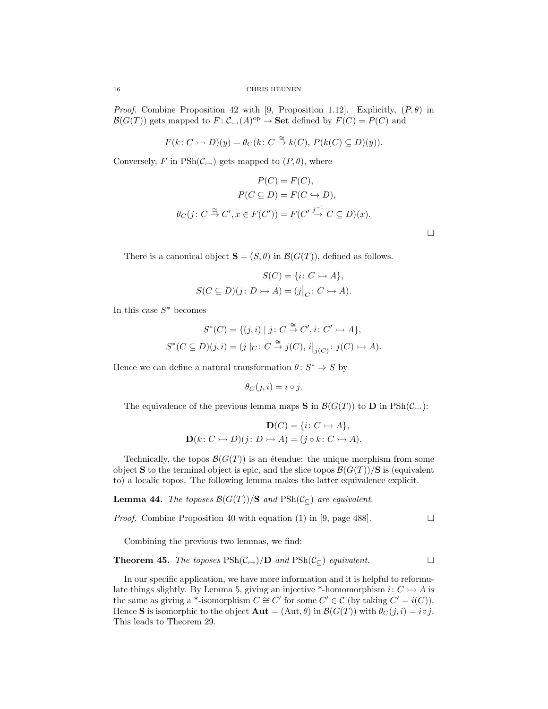*Proof.* Combine Proposition 42 with [9, Proposition 1.12]. Explicitly,  $(P, \theta)$  in  $\mathcal{B}(G(T))$  gets mapped to  $F: \mathcal{C}_{\rightarrow}(A)^\text{op} \rightarrow \mathbf{Set}$  defined by  $F(C) = P(C)$  and

$$
F(k: C \rightarrow D)(y) = \theta_C(k: C \stackrel{\cong}{\rightarrow} k(C), P(k(C) \subseteq D)(y)).
$$

Conversely, F in  $\text{PSh}(\mathcal{C}_{\rightarrow})$  gets mapped to  $(P, \theta)$ , where

$$
P(C) = F(C),
$$
  
\n
$$
P(C \subseteq D) = F(C \hookrightarrow D),
$$
  
\n
$$
\theta_C(j: C \stackrel{\cong}{\to} C', x \in F(C')) = F(C' \stackrel{j^{-1}}{\to} C \subseteq D)(x).
$$

 $\Box$ 

There is a canonical object  $S = (S, \theta)$  in  $\mathcal{B}(G(T))$ , defined as follows.

$$
S(C) = \{i \colon C \to A\},
$$
  

$$
S(C \subseteq D)(j \colon D \to A) = (j|_C \colon C \to A).
$$

In this case  $S^*$  becomes

$$
S^*(C) = \{(j,i) \mid j: C \stackrel{\cong}{\to} C', i: C' \to A\},
$$
  

$$
S^*(C \subseteq D)(j,i) = (j \mid_C : C \stackrel{\cong}{\to} j(C), i \big|_{j(C)} : j(C) \to A).
$$

Hence we can define a natural transformation  $\theta: S^* \Rightarrow S$  by

$$
\theta_C(j,i) = i \circ j.
$$

The equivalence of the previous lemma maps **S** in  $\mathcal{B}(G(T))$  to **D** in  $\text{PSh}(\mathcal{C}_{\rightarrow})$ :

$$
\mathbf{D}(C) = \{i \colon C \rightarrowtail A\},
$$
  

$$
\mathbf{D}(k \colon C \rightarrowtail D)(j \colon D \rightarrowtail A) = (j \circ k \colon C \rightarrowtail A).
$$

Technically, the topos  $\mathcal{B}(G(T))$  is an étendue: the unique morphism from some object S to the terminal object is epic, and the slice topos  $\mathcal{B}(G(T))/S$  is (equivalent to) a localic topos. The following lemma makes the latter equivalence explicit.

**Lemma 44.** The toposes  $\mathcal{B}(G(T))/S$  and  $\text{PSh}(\mathcal{C}_{\subseteq})$  are equivalent.

*Proof.* Combine Proposition 40 with equation (1) in [9, page 488].

Combining the previous two lemmas, we find:

**Theorem 45.** The toposes  $\text{PSh}(\mathcal{C}_{\rightarrow})/\mathbf{D}$  and  $\text{PSh}(\mathcal{C}_{\subseteq})$  equivalent.

In our specific application, we have more information and it is helpful to reformulate things slightly. By Lemma 5, giving an injective \*-homomorphism  $i: C \rightarrow A$  is the same as giving a \*-isomorphism  $C \cong C'$  for some  $C' \in \mathcal{C}$  (by taking  $C' = i(C)$ ). Hence S is isomorphic to the object  $\mathbf{Aut} = (\mathrm{Aut}, \theta)$  in  $\mathcal{B}(G(T))$  with  $\theta_C(j, i) = i \circ j$ . This leads to Theorem 29.